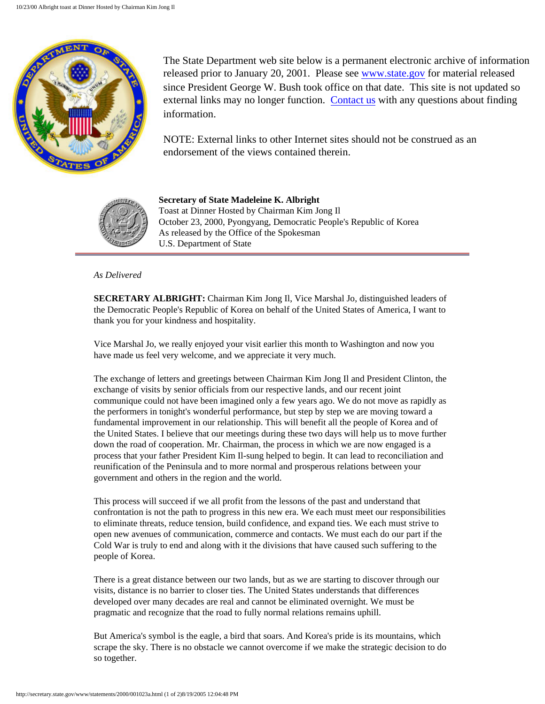

The State Department web site below is a permanent electronic archive of information released prior to January 20, 2001. Please see [www.state.gov](http://www.state.gov/) for material released since President George W. Bush took office on that date. This site is not updated so external links may no longer function. [Contact us](http://state.gov/documents/ContactUs.cfm) with any questions about finding information.

NOTE: External links to other Internet sites should not be construed as an endorsement of the views contained therein.



**Secretary of State Madeleine K. Albright** Toast at Dinner Hosted by Chairman Kim Jong Il October 23, 2000, Pyongyang, Democratic People's Republic of Korea As released by the Office of the Spokesman U.S. Department of State

## *As Delivered*

**SECRETARY ALBRIGHT:** Chairman Kim Jong Il, Vice Marshal Jo, distinguished leaders of the Democratic People's Republic of Korea on behalf of the United States of America, I want to thank you for your kindness and hospitality.

Vice Marshal Jo, we really enjoyed your visit earlier this month to Washington and now you have made us feel very welcome, and we appreciate it very much.

The exchange of letters and greetings between Chairman Kim Jong Il and President Clinton, the exchange of visits by senior officials from our respective lands, and our recent joint communique could not have been imagined only a few years ago. We do not move as rapidly as the performers in tonight's wonderful performance, but step by step we are moving toward a fundamental improvement in our relationship. This will benefit all the people of Korea and of the United States. I believe that our meetings during these two days will help us to move further down the road of cooperation. Mr. Chairman, the process in which we are now engaged is a process that your father President Kim Il-sung helped to begin. It can lead to reconciliation and reunification of the Peninsula and to more normal and prosperous relations between your government and others in the region and the world.

This process will succeed if we all profit from the lessons of the past and understand that confrontation is not the path to progress in this new era. We each must meet our responsibilities to eliminate threats, reduce tension, build confidence, and expand ties. We each must strive to open new avenues of communication, commerce and contacts. We must each do our part if the Cold War is truly to end and along with it the divisions that have caused such suffering to the people of Korea.

There is a great distance between our two lands, but as we are starting to discover through our visits, distance is no barrier to closer ties. The United States understands that differences developed over many decades are real and cannot be eliminated overnight. We must be pragmatic and recognize that the road to fully normal relations remains uphill.

But America's symbol is the eagle, a bird that soars. And Korea's pride is its mountains, which scrape the sky. There is no obstacle we cannot overcome if we make the strategic decision to do so together.